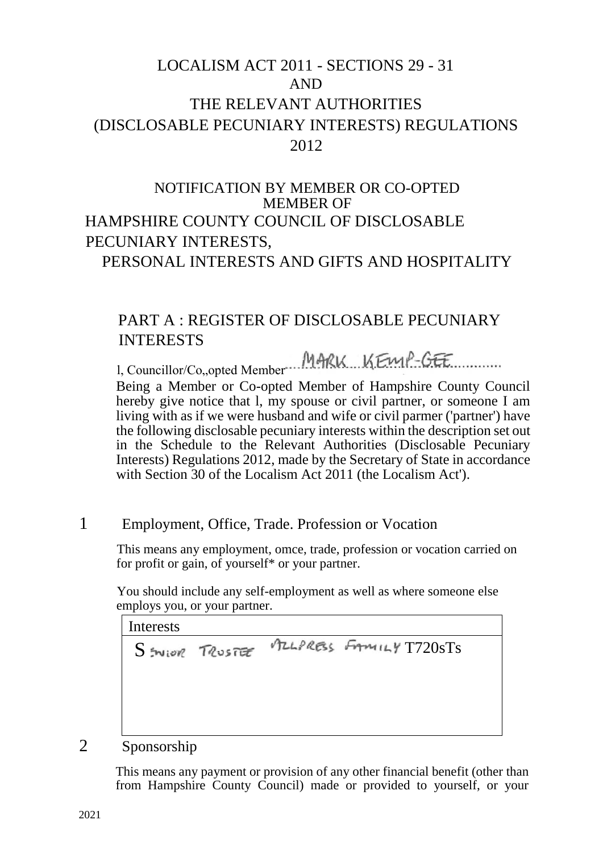# LOCALISM ACT 2011 - SECTIONS 29 - 31 AND THE RELEVANT AUTHORITIES (DISCLOSABLE PECUNIARY INTERESTS) REGULATIONS 2012

## NOTIFICATION BY MEMBER OR CO-OPTED MEMBER OF HAMPSHIRE COUNTY COUNCIL OF DISCLOSABLE PECUNIARY INTERESTS, PERSONAL INTERESTS AND GIFTS AND HOSPITALITY

## PART A : REGISTER OF DISCLOSABLE PECUNIARY INTERESTS

MARK KEMP-GEE

l, Councillor/Co, opted Member Being a Member or Co-opted Member of Hampshire County Council hereby give notice that l, my spouse or civil partner, or someone I am living with as if we were husband and wife or civil parmer ('partner') have the following disclosable pecuniary interests within the description set out in the Schedule to the Relevant Authorities (Disclosable Pecuniary Interests) Regulations 2012, made by the Secretary of State in accordance with Section 30 of the Localism Act 2011 (the Localism Act').

1 Employment, Office, Trade. Profession or Vocation

This means any employment, omce, trade, profession or vocation carried on for profit or gain, of yourself\* or your partner.

You should include any self-employment as well as where someone else employs you, or your partner.

**Interests** 

SENIOR TRUSTEE MILPRESS FAMILY T720STS

2 Sponsorship

This means any payment or provision of any other financial benefit (other than from Hampshire County Council) made or provided to yourself, or your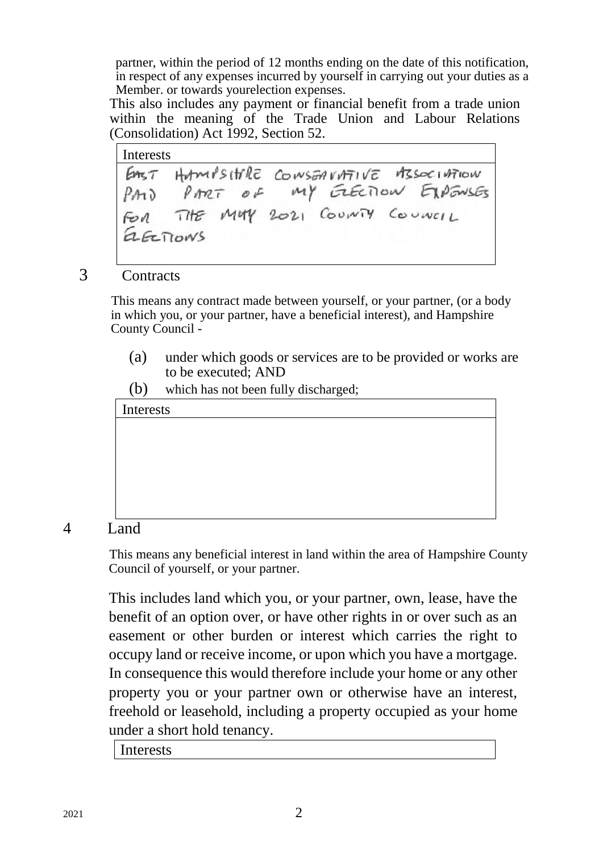partner, within the period of 12 months ending on the date of this notification, in respect of any expenses incurred by yourself in carrying out your duties as a Member. or towards yourelection expenses.

This also includes any payment or financial benefit from a trade union within the meaning of the Trade Union and Labour Relations (Consolidation) Act 1992, Section 52.

Interests EAST HAMPSITEE CONSERVATIVE MSSOCIATION PART OF MY ELECTION EXPENSES  $PAD$ THE MUY 2021 COUNTY COUNCIL FOR aECTIONS

### 3 Contracts

This means any contract made between yourself, or your partner, (or a body in which you, or your partner, have a beneficial interest), and Hampshire County Council -

- (a) under which goods or services are to be provided or works are to be executed; AND
- (b) which has not been fully discharged;



#### 4 Land

This means any beneficial interest in land within the area of Hampshire County Council of yourself, or your partner.

This includes land which you, or your partner, own, lease, have the benefit of an option over, or have other rights in or over such as an easement or other burden or interest which carries the right to occupy land or receive income, or upon which you have a mortgage. In consequence this would therefore include your home or any other property you or your partner own or otherwise have an interest, freehold or leasehold, including a property occupied as your home under a short hold tenancy.

Interests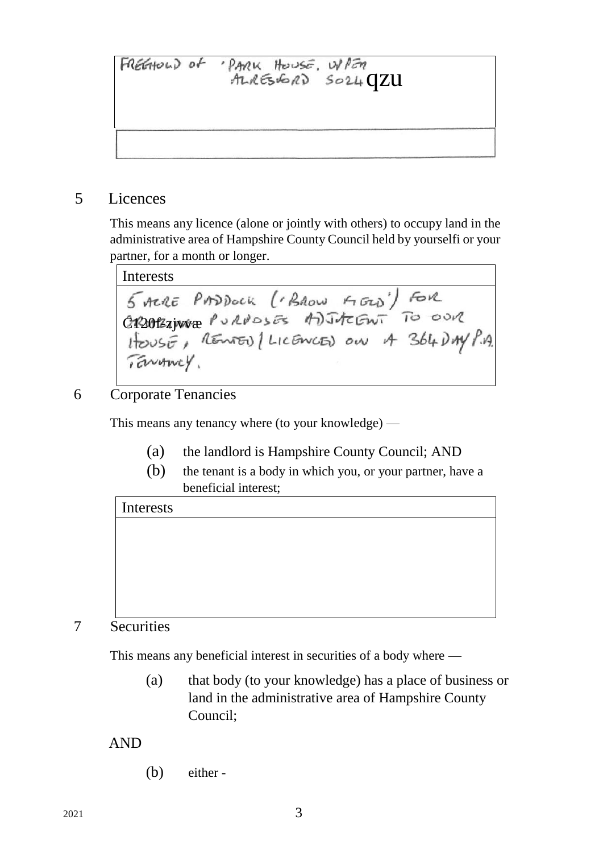qzu

5 Licences

This means any licence (alone or jointly with others) to occupy land in the administrative area of Hampshire County Council held by yourselfi or your partner, for a month or longer.

Interests 5 Acre PASDOCK (BROW FIGO) FOR<br>C120121Ware PURPOSES ADJACENT TO OUR<br>HOUSE, REMED (LICENCED ON A 364 DAY P.A. TENANCY.

### 6 Corporate Tenancies

This means any tenancy where (to your knowledge) —

- (a) the landlord is Hampshire County Council; AND
- (b) the tenant is a body in which you, or your partner, have a beneficial interest;

# Interests

## 7 Securities

This means any beneficial interest in securities of a body where —

(a) that body (to your knowledge) has a place of business or land in the administrative area of Hampshire County Council;

## AND

(b) either -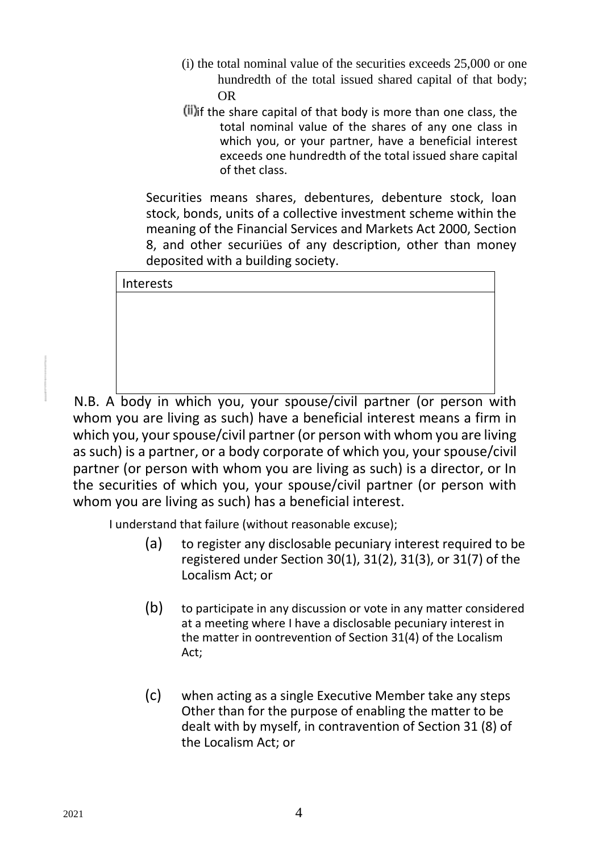- (i) the total nominal value of the securities exceeds 25,000 or one hundredth of the total issued shared capital of that body; OR
- $(ii)$  if the share capital of that body is more than one class, the total nominal value of the shares of any one class in which you, or your partner, have a beneficial interest exceeds one hundredth of the total issued share capital of thet class.

Securities means shares, debentures, debenture stock, loan stock, bonds, units of a collective investment scheme within the meaning of the Financial Services and Markets Act 2000, Section 8, and other securiües of any description, other than money deposited with a building society.

| Interests |  |  |  |  |
|-----------|--|--|--|--|
|           |  |  |  |  |
|           |  |  |  |  |
|           |  |  |  |  |
|           |  |  |  |  |
|           |  |  |  |  |

N.B. A body in which you, your spouse/civil partner (or person with whom you are living as such) have a beneficial interest means a firm in which you, your spouse/civil partner (or person with whom you are living as such) is a partner, or a body corporate of which you, your spouse/civil partner (or person with whom you are living as such) is a director, or In the securities of which you, your spouse/civil partner (or person with whom you are living as such) has a beneficial interest.

I understand that failure (without reasonable excuse);

- (a) to register any disclosable pecuniary interest required to be registered under Section 30(1), 31(2), 31(3), or 31(7) of the Localism Act; or
- (b) to participate in any discussion or vote in any matter considered at a meeting where I have a disclosable pecuniary interest in the matter in oontrevention of Section 31(4) of the Localism Act;
- (c) when acting as a single Executive Member take any steps Other than for the purpose of enabling the matter to be dealt with by myself, in contravention of Section 31 (8) of the Localism Act; or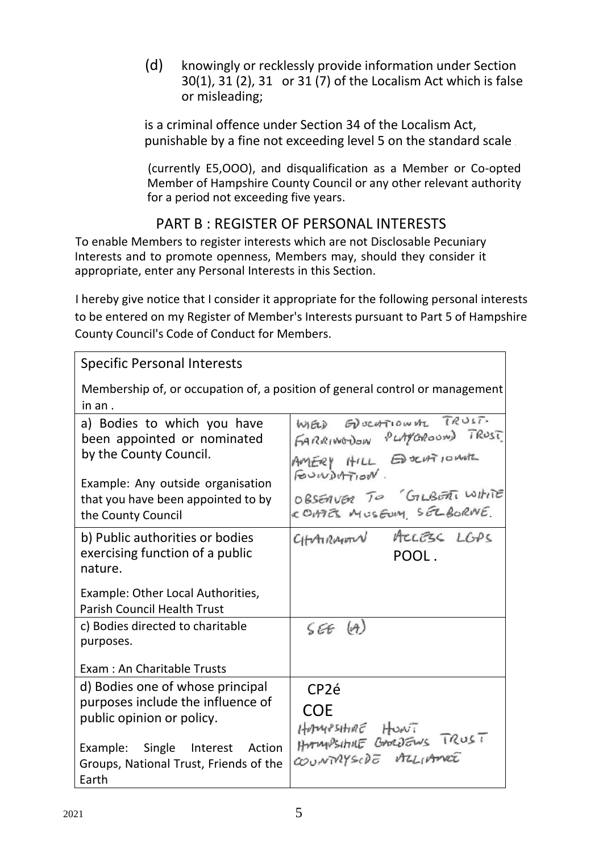(d) knowingly or recklessly provide information under Section 30(1), 31 (2), 31 or 31 (7) of the Localism Act which is false or misleading;

is a criminal offence under Section 34 of the Localism Act, punishable by a fine not exceeding level 5 on the standard scale.

(currently E5,OOO), and disqualification as a Member or Co-opted Member of Hampshire County Council or any other relevant authority for a period not exceeding five years.

## PART B : REGISTER OF PERSONAL INTERESTS

To enable Members to register interests which are not Disclosable Pecuniary Interests and to promote openness, Members may, should they consider it appropriate, enter any Personal Interests in this Section.

I hereby give notice that I consider it appropriate for the following personal interests to be entered on my Register of Member's Interests pursuant to Part 5 of Hampshire County Council's Code of Conduct for Members.

### Specific Personal Interests

| Membership of, or occupation of, a position of general control or management<br>in an.                                                                                                |                                                                                                                                                            |  |  |  |  |
|---------------------------------------------------------------------------------------------------------------------------------------------------------------------------------------|------------------------------------------------------------------------------------------------------------------------------------------------------------|--|--|--|--|
| a) Bodies to which you have<br>been appointed or nominated<br>by the County Council.<br>Example: Any outside organisation<br>that you have been appointed to by<br>the County Council | WIELD EDUCATIONAL TRUST.<br>FARRINGDON PLAYEROUND TRUST<br>AMERY HILL EDOCATIONAL<br>FOUNDATION.<br>OBSERVER TO GILBERTI WITHITE<br>COMES MUSEUM SELBORNE. |  |  |  |  |
| b) Public authorities or bodies<br>exercising function of a public<br>nature.                                                                                                         | CHARMONN ACCESS LGPS<br>POOL.                                                                                                                              |  |  |  |  |
| Example: Other Local Authorities,<br><b>Parish Council Health Trust</b>                                                                                                               |                                                                                                                                                            |  |  |  |  |
| c) Bodies directed to charitable<br>purposes.                                                                                                                                         | SEE(A)                                                                                                                                                     |  |  |  |  |
| Exam: An Charitable Trusts                                                                                                                                                            |                                                                                                                                                            |  |  |  |  |
| d) Bodies one of whose principal                                                                                                                                                      | CP <sub>2</sub> é                                                                                                                                          |  |  |  |  |
| purposes include the influence of<br>public opinion or policy.                                                                                                                        | <b>COE</b>                                                                                                                                                 |  |  |  |  |
| Example: Single Interest<br>Action<br>Groups, National Trust, Friends of the<br>Earth                                                                                                 | Hommositivité Howi<br>Hormositivité BoordEws TRUST<br>COUNTRYSCOE MILIANEE                                                                                 |  |  |  |  |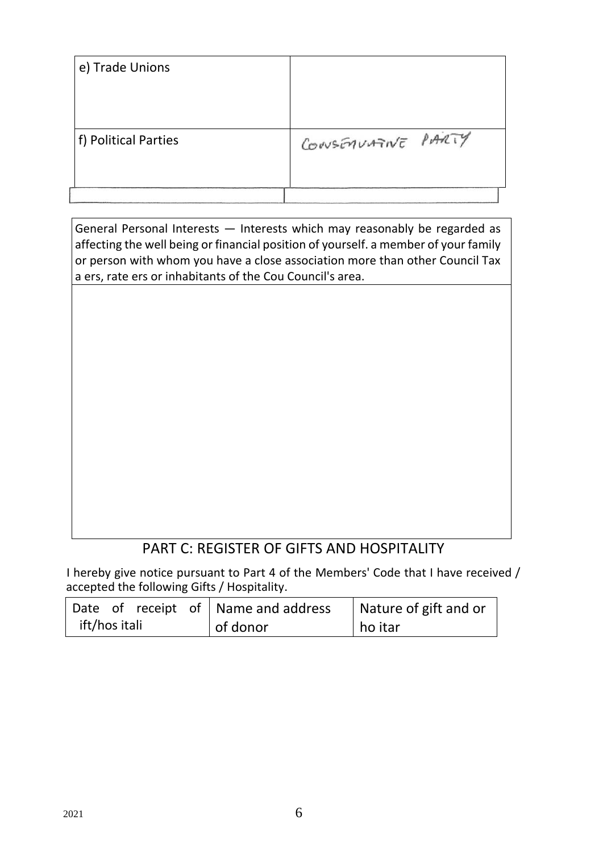| f) Political Parties | CONSENVATIVE PARTY |
|----------------------|--------------------|
| e) Trade Unions      |                    |

General Personal Interests — Interests which may reasonably be regarded as affecting the well being or financial position of yourself. a member of your family or person with whom you have a close association more than other Council Tax a ers, rate ers or inhabitants of the Cou Council's area.

## PART C: REGISTER OF GIFTS AND HOSPITALITY

I hereby give notice pursuant to Part 4 of the Members' Code that I have received / accepted the following Gifts / Hospitality.

|               |  |  | Date of receipt of Name and address | Nature of gift and or |
|---------------|--|--|-------------------------------------|-----------------------|
| ift/hos itali |  |  | of donor                            | ho itar               |